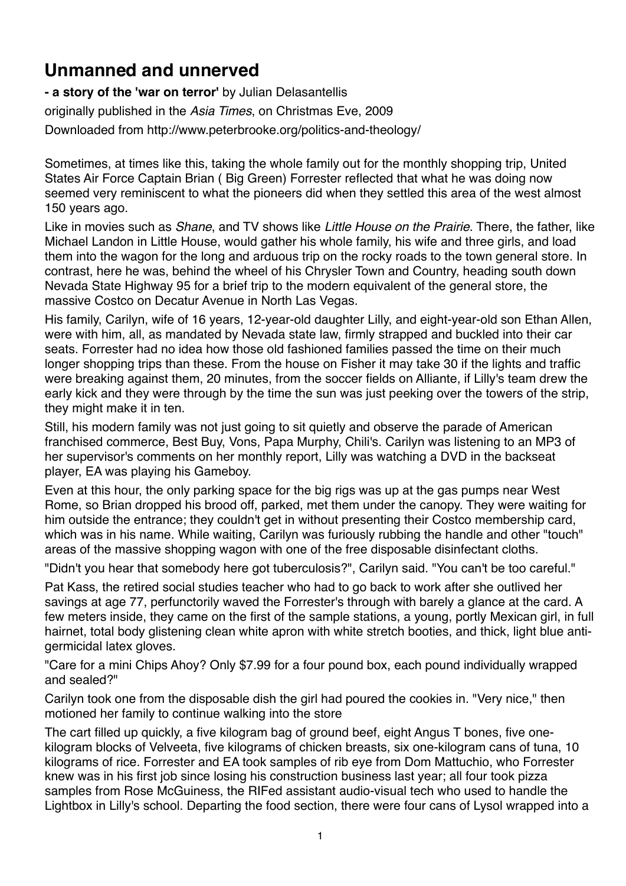## **Unmanned and unnerved**

**- a story of the 'war on terror'** by Julian Delasantellis originally published in the *Asia Times*, on Christmas Eve, 2009 Downloaded from http://www.peterbrooke.org/politics-and-theology/

Sometimes, at times like this, taking the whole family out for the monthly shopping trip, United States Air Force Captain Brian ( Big Green) Forrester reflected that what he was doing now seemed very reminiscent to what the pioneers did when they settled this area of the west almost 150 years ago.

Like in movies such as *Shane*, and TV shows like *Little House on the Prairie*. There, the father, like Michael Landon in Little House, would gather his whole family, his wife and three girls, and load them into the wagon for the long and arduous trip on the rocky roads to the town general store. In contrast, here he was, behind the wheel of his Chrysler Town and Country, heading south down Nevada State Highway 95 for a brief trip to the modern equivalent of the general store, the massive Costco on Decatur Avenue in North Las Vegas.

His family, Carilyn, wife of 16 years, 12-year-old daughter Lilly, and eight-year-old son Ethan Allen, were with him, all, as mandated by Nevada state law, firmly strapped and buckled into their car seats. Forrester had no idea how those old fashioned families passed the time on their much longer shopping trips than these. From the house on Fisher it may take 30 if the lights and traffic were breaking against them, 20 minutes, from the soccer fields on Alliante, if Lilly's team drew the early kick and they were through by the time the sun was just peeking over the towers of the strip, they might make it in ten.

Still, his modern family was not just going to sit quietly and observe the parade of American franchised commerce, Best Buy, Vons, Papa Murphy, Chili's. Carilyn was listening to an MP3 of her supervisor's comments on her monthly report, Lilly was watching a DVD in the backseat player, EA was playing his Gameboy.

Even at this hour, the only parking space for the big rigs was up at the gas pumps near West Rome, so Brian dropped his brood off, parked, met them under the canopy. They were waiting for him outside the entrance; they couldn't get in without presenting their Costco membership card, which was in his name. While waiting, Carilyn was furiously rubbing the handle and other "touch" areas of the massive shopping wagon with one of the free disposable disinfectant cloths.

"Didn't you hear that somebody here got tuberculosis?", Carilyn said. "You can't be too careful."

Pat Kass, the retired social studies teacher who had to go back to work after she outlived her savings at age 77, perfunctorily waved the Forrester's through with barely a glance at the card. A few meters inside, they came on the first of the sample stations, a young, portly Mexican girl, in full hairnet, total body glistening clean white apron with white stretch booties, and thick, light blue antigermicidal latex gloves.

"Care for a mini Chips Ahoy? Only \$7.99 for a four pound box, each pound individually wrapped and sealed?"

Carilyn took one from the disposable dish the girl had poured the cookies in. "Very nice," then motioned her family to continue walking into the store

The cart filled up quickly, a five kilogram bag of ground beef, eight Angus T bones, five onekilogram blocks of Velveeta, five kilograms of chicken breasts, six one-kilogram cans of tuna, 10 kilograms of rice. Forrester and EA took samples of rib eye from Dom Mattuchio, who Forrester knew was in his first job since losing his construction business last year; all four took pizza samples from Rose McGuiness, the RIFed assistant audio-visual tech who used to handle the Lightbox in Lilly's school. Departing the food section, there were four cans of Lysol wrapped into a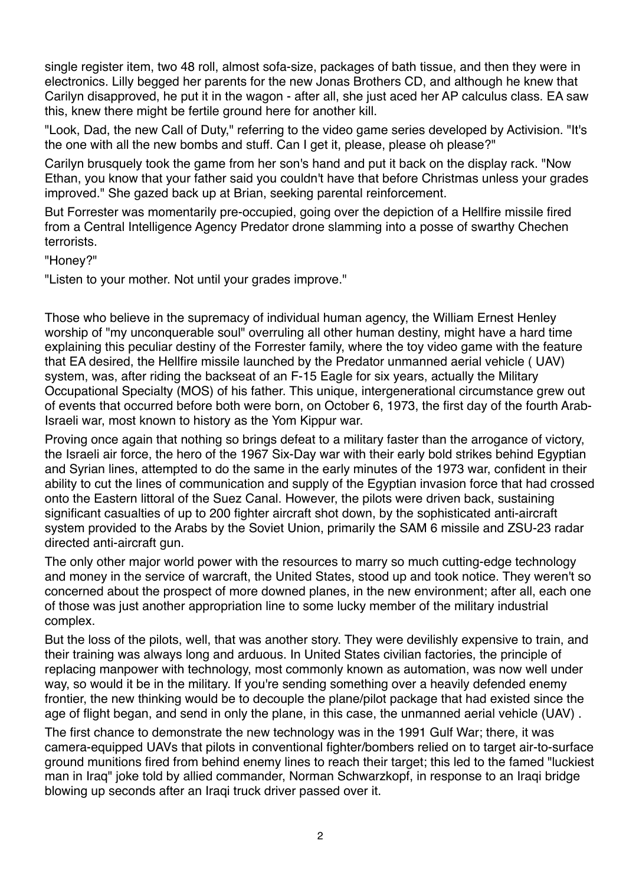single register item, two 48 roll, almost sofa-size, packages of bath tissue, and then they were in electronics. Lilly begged her parents for the new Jonas Brothers CD, and although he knew that Carilyn disapproved, he put it in the wagon - after all, she just aced her AP calculus class. EA saw this, knew there might be fertile ground here for another kill.

"Look, Dad, the new Call of Duty," referring to the video game series developed by Activision. "It's the one with all the new bombs and stuff. Can I get it, please, please oh please?"

Carilyn brusquely took the game from her son's hand and put it back on the display rack. "Now Ethan, you know that your father said you couldn't have that before Christmas unless your grades improved." She gazed back up at Brian, seeking parental reinforcement.

But Forrester was momentarily pre-occupied, going over the depiction of a Hellfire missile fired from a Central Intelligence Agency Predator drone slamming into a posse of swarthy Chechen terrorists.

"Honey?"

"Listen to your mother. Not until your grades improve."

Those who believe in the supremacy of individual human agency, the William Ernest Henley worship of "my unconquerable soul" overruling all other human destiny, might have a hard time explaining this peculiar destiny of the Forrester family, where the toy video game with the feature that EA desired, the Hellfire missile launched by the Predator unmanned aerial vehicle ( UAV) system, was, after riding the backseat of an F-15 Eagle for six years, actually the Military Occupational Specialty (MOS) of his father. This unique, intergenerational circumstance grew out of events that occurred before both were born, on October 6, 1973, the first day of the fourth Arab-Israeli war, most known to history as the Yom Kippur war.

Proving once again that nothing so brings defeat to a military faster than the arrogance of victory, the Israeli air force, the hero of the 1967 Six-Day war with their early bold strikes behind Egyptian and Syrian lines, attempted to do the same in the early minutes of the 1973 war, confident in their ability to cut the lines of communication and supply of the Egyptian invasion force that had crossed onto the Eastern littoral of the Suez Canal. However, the pilots were driven back, sustaining significant casualties of up to 200 fighter aircraft shot down, by the sophisticated anti-aircraft system provided to the Arabs by the Soviet Union, primarily the SAM 6 missile and ZSU-23 radar directed anti-aircraft gun.

The only other major world power with the resources to marry so much cutting-edge technology and money in the service of warcraft, the United States, stood up and took notice. They weren't so concerned about the prospect of more downed planes, in the new environment; after all, each one of those was just another appropriation line to some lucky member of the military industrial complex.

But the loss of the pilots, well, that was another story. They were devilishly expensive to train, and their training was always long and arduous. In United States civilian factories, the principle of replacing manpower with technology, most commonly known as automation, was now well under way, so would it be in the military. If you're sending something over a heavily defended enemy frontier, the new thinking would be to decouple the plane/pilot package that had existed since the age of flight began, and send in only the plane, in this case, the unmanned aerial vehicle (UAV) .

The first chance to demonstrate the new technology was in the 1991 Gulf War; there, it was camera-equipped UAVs that pilots in conventional fighter/bombers relied on to target air-to-surface ground munitions fired from behind enemy lines to reach their target; this led to the famed "luckiest man in Iraq" joke told by allied commander, Norman Schwarzkopf, in response to an Iraqi bridge blowing up seconds after an Iraqi truck driver passed over it.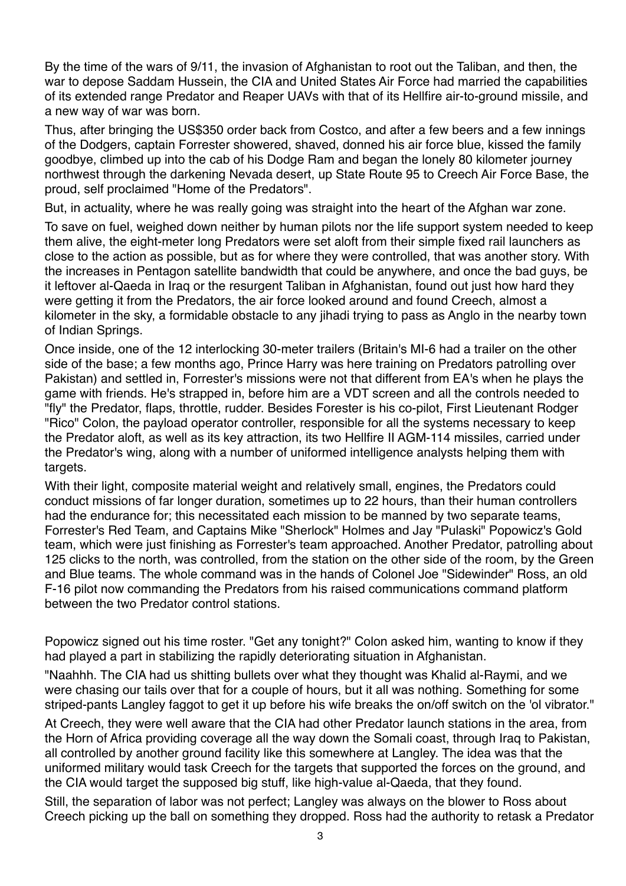By the time of the wars of 9/11, the invasion of Afghanistan to root out the Taliban, and then, the war to depose Saddam Hussein, the CIA and United States Air Force had married the capabilities of its extended range Predator and Reaper UAVs with that of its Hellfire air-to-ground missile, and a new way of war was born.

Thus, after bringing the US\$350 order back from Costco, and after a few beers and a few innings of the Dodgers, captain Forrester showered, shaved, donned his air force blue, kissed the family goodbye, climbed up into the cab of his Dodge Ram and began the lonely 80 kilometer journey northwest through the darkening Nevada desert, up State Route 95 to Creech Air Force Base, the proud, self proclaimed "Home of the Predators".

But, in actuality, where he was really going was straight into the heart of the Afghan war zone.

To save on fuel, weighed down neither by human pilots nor the life support system needed to keep them alive, the eight-meter long Predators were set aloft from their simple fixed rail launchers as close to the action as possible, but as for where they were controlled, that was another story. With the increases in Pentagon satellite bandwidth that could be anywhere, and once the bad guys, be it leftover al-Qaeda in Iraq or the resurgent Taliban in Afghanistan, found out just how hard they were getting it from the Predators, the air force looked around and found Creech, almost a kilometer in the sky, a formidable obstacle to any jihadi trying to pass as Anglo in the nearby town of Indian Springs.

Once inside, one of the 12 interlocking 30-meter trailers (Britain's MI-6 had a trailer on the other side of the base; a few months ago, Prince Harry was here training on Predators patrolling over Pakistan) and settled in, Forrester's missions were not that different from EA's when he plays the game with friends. He's strapped in, before him are a VDT screen and all the controls needed to "fly" the Predator, flaps, throttle, rudder. Besides Forester is his co-pilot, First Lieutenant Rodger "Rico" Colon, the payload operator controller, responsible for all the systems necessary to keep the Predator aloft, as well as its key attraction, its two Hellfire II AGM-114 missiles, carried under the Predator's wing, along with a number of uniformed intelligence analysts helping them with targets.

With their light, composite material weight and relatively small, engines, the Predators could conduct missions of far longer duration, sometimes up to 22 hours, than their human controllers had the endurance for; this necessitated each mission to be manned by two separate teams, Forrester's Red Team, and Captains Mike "Sherlock" Holmes and Jay "Pulaski" Popowicz's Gold team, which were just finishing as Forrester's team approached. Another Predator, patrolling about 125 clicks to the north, was controlled, from the station on the other side of the room, by the Green and Blue teams. The whole command was in the hands of Colonel Joe "Sidewinder" Ross, an old F-16 pilot now commanding the Predators from his raised communications command platform between the two Predator control stations.

Popowicz signed out his time roster. "Get any tonight?" Colon asked him, wanting to know if they had played a part in stabilizing the rapidly deteriorating situation in Afghanistan.

"Naahhh. The CIA had us shitting bullets over what they thought was Khalid al-Raymi, and we were chasing our tails over that for a couple of hours, but it all was nothing. Something for some striped-pants Langley faggot to get it up before his wife breaks the on/off switch on the 'ol vibrator."

At Creech, they were well aware that the CIA had other Predator launch stations in the area, from the Horn of Africa providing coverage all the way down the Somali coast, through Iraq to Pakistan, all controlled by another ground facility like this somewhere at Langley. The idea was that the uniformed military would task Creech for the targets that supported the forces on the ground, and the CIA would target the supposed big stuff, like high-value al-Qaeda, that they found.

Still, the separation of labor was not perfect; Langley was always on the blower to Ross about Creech picking up the ball on something they dropped. Ross had the authority to retask a Predator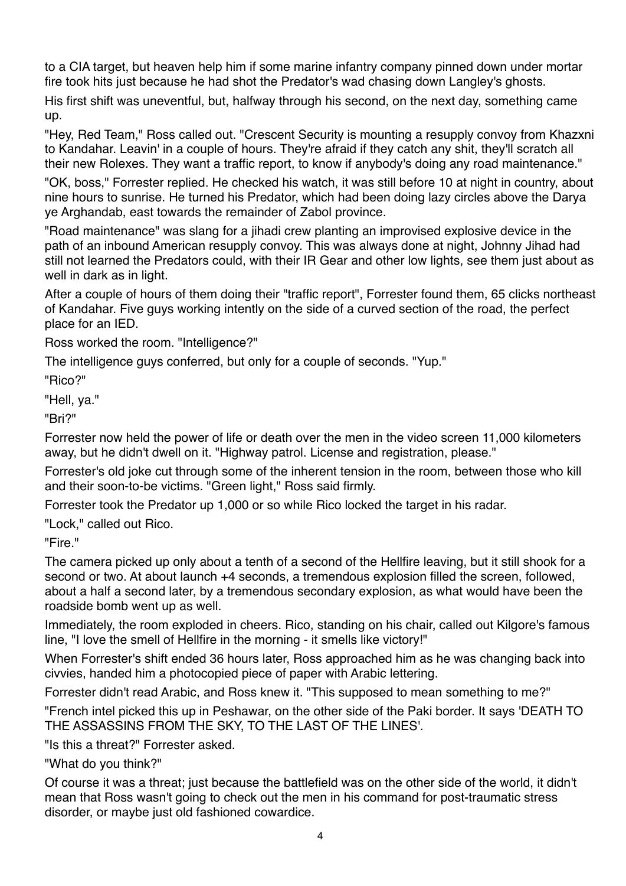to a CIA target, but heaven help him if some marine infantry company pinned down under mortar fire took hits just because he had shot the Predator's wad chasing down Langley's ghosts.

His first shift was uneventful, but, halfway through his second, on the next day, something came up.

"Hey, Red Team," Ross called out. "Crescent Security is mounting a resupply convoy from Khazxni to Kandahar. Leavin' in a couple of hours. They're afraid if they catch any shit, they'll scratch all their new Rolexes. They want a traffic report, to know if anybody's doing any road maintenance."

"OK, boss," Forrester replied. He checked his watch, it was still before 10 at night in country, about nine hours to sunrise. He turned his Predator, which had been doing lazy circles above the Darya ye Arghandab, east towards the remainder of Zabol province.

"Road maintenance" was slang for a jihadi crew planting an improvised explosive device in the path of an inbound American resupply convoy. This was always done at night, Johnny Jihad had still not learned the Predators could, with their IR Gear and other low lights, see them just about as well in dark as in light.

After a couple of hours of them doing their "traffic report", Forrester found them, 65 clicks northeast of Kandahar. Five guys working intently on the side of a curved section of the road, the perfect place for an IED.

Ross worked the room. "Intelligence?"

The intelligence guys conferred, but only for a couple of seconds. "Yup."

"Rico?"

"Hell, ya."

"Bri?"

Forrester now held the power of life or death over the men in the video screen 11,000 kilometers away, but he didn't dwell on it. "Highway patrol. License and registration, please."

Forrester's old joke cut through some of the inherent tension in the room, between those who kill and their soon-to-be victims. "Green light," Ross said firmly.

Forrester took the Predator up 1,000 or so while Rico locked the target in his radar.

"Lock," called out Rico.

"Fire."

The camera picked up only about a tenth of a second of the Hellfire leaving, but it still shook for a second or two. At about launch +4 seconds, a tremendous explosion filled the screen, followed, about a half a second later, by a tremendous secondary explosion, as what would have been the roadside bomb went up as well.

Immediately, the room exploded in cheers. Rico, standing on his chair, called out Kilgore's famous line, "I love the smell of Hellfire in the morning - it smells like victory!"

When Forrester's shift ended 36 hours later, Ross approached him as he was changing back into civvies, handed him a photocopied piece of paper with Arabic lettering.

Forrester didn't read Arabic, and Ross knew it. "This supposed to mean something to me?"

"French intel picked this up in Peshawar, on the other side of the Paki border. It says 'DEATH TO THE ASSASSINS FROM THE SKY, TO THE LAST OF THE LINES'.

"Is this a threat?" Forrester asked.

"What do you think?"

Of course it was a threat; just because the battlefield was on the other side of the world, it didn't mean that Ross wasn't going to check out the men in his command for post-traumatic stress disorder, or maybe just old fashioned cowardice.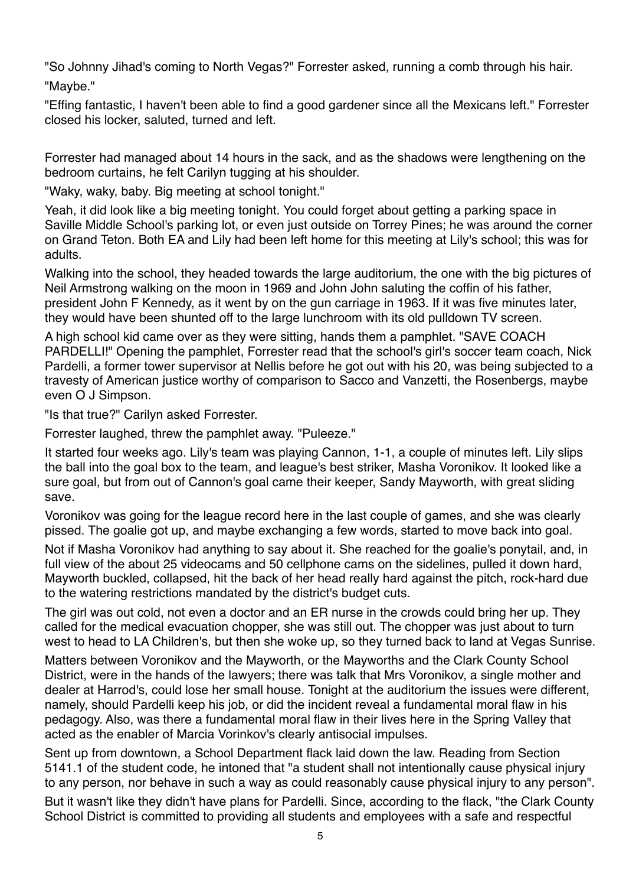"So Johnny Jihad's coming to North Vegas?" Forrester asked, running a comb through his hair. "Maybe."

"Effing fantastic, I haven't been able to find a good gardener since all the Mexicans left." Forrester closed his locker, saluted, turned and left.

Forrester had managed about 14 hours in the sack, and as the shadows were lengthening on the bedroom curtains, he felt Carilyn tugging at his shoulder.

"Waky, waky, baby. Big meeting at school tonight."

Yeah, it did look like a big meeting tonight. You could forget about getting a parking space in Saville Middle School's parking lot, or even just outside on Torrey Pines; he was around the corner on Grand Teton. Both EA and Lily had been left home for this meeting at Lily's school; this was for adults.

Walking into the school, they headed towards the large auditorium, the one with the big pictures of Neil Armstrong walking on the moon in 1969 and John John saluting the coffin of his father, president John F Kennedy, as it went by on the gun carriage in 1963. If it was five minutes later, they would have been shunted off to the large lunchroom with its old pulldown TV screen.

A high school kid came over as they were sitting, hands them a pamphlet. "SAVE COACH PARDELLI!" Opening the pamphlet, Forrester read that the school's girl's soccer team coach, Nick Pardelli, a former tower supervisor at Nellis before he got out with his 20, was being subjected to a travesty of American justice worthy of comparison to Sacco and Vanzetti, the Rosenbergs, maybe even O J Simpson.

"Is that true?" Carilyn asked Forrester.

Forrester laughed, threw the pamphlet away. "Puleeze."

It started four weeks ago. Lily's team was playing Cannon, 1-1, a couple of minutes left. Lily slips the ball into the goal box to the team, and league's best striker, Masha Voronikov. It looked like a sure goal, but from out of Cannon's goal came their keeper, Sandy Mayworth, with great sliding save.

Voronikov was going for the league record here in the last couple of games, and she was clearly pissed. The goalie got up, and maybe exchanging a few words, started to move back into goal.

Not if Masha Voronikov had anything to say about it. She reached for the goalie's ponytail, and, in full view of the about 25 videocams and 50 cellphone cams on the sidelines, pulled it down hard, Mayworth buckled, collapsed, hit the back of her head really hard against the pitch, rock-hard due to the watering restrictions mandated by the district's budget cuts.

The girl was out cold, not even a doctor and an ER nurse in the crowds could bring her up. They called for the medical evacuation chopper, she was still out. The chopper was just about to turn west to head to LA Children's, but then she woke up, so they turned back to land at Vegas Sunrise.

Matters between Voronikov and the Mayworth, or the Mayworths and the Clark County School District, were in the hands of the lawyers; there was talk that Mrs Voronikov, a single mother and dealer at Harrod's, could lose her small house. Tonight at the auditorium the issues were different, namely, should Pardelli keep his job, or did the incident reveal a fundamental moral flaw in his pedagogy. Also, was there a fundamental moral flaw in their lives here in the Spring Valley that acted as the enabler of Marcia Vorinkov's clearly antisocial impulses.

Sent up from downtown, a School Department flack laid down the law. Reading from Section 5141.1 of the student code, he intoned that "a student shall not intentionally cause physical injury to any person, nor behave in such a way as could reasonably cause physical injury to any person".

But it wasn't like they didn't have plans for Pardelli. Since, according to the flack, "the Clark County School District is committed to providing all students and employees with a safe and respectful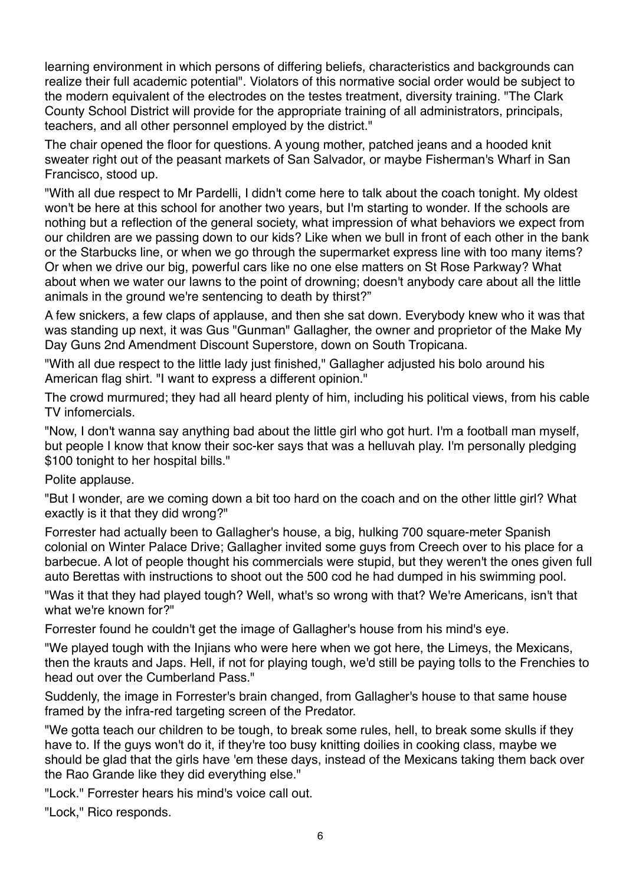learning environment in which persons of differing beliefs, characteristics and backgrounds can realize their full academic potential". Violators of this normative social order would be subject to the modern equivalent of the electrodes on the testes treatment, diversity training. "The Clark County School District will provide for the appropriate training of all administrators, principals, teachers, and all other personnel employed by the district."

The chair opened the floor for questions. A young mother, patched jeans and a hooded knit sweater right out of the peasant markets of San Salvador, or maybe Fisherman's Wharf in San Francisco, stood up.

"With all due respect to Mr Pardelli, I didn't come here to talk about the coach tonight. My oldest won't be here at this school for another two years, but I'm starting to wonder. If the schools are nothing but a reflection of the general society, what impression of what behaviors we expect from our children are we passing down to our kids? Like when we bull in front of each other in the bank or the Starbucks line, or when we go through the supermarket express line with too many items? Or when we drive our big, powerful cars like no one else matters on St Rose Parkway? What about when we water our lawns to the point of drowning; doesn't anybody care about all the little animals in the ground we're sentencing to death by thirst?"

A few snickers, a few claps of applause, and then she sat down. Everybody knew who it was that was standing up next, it was Gus "Gunman" Gallagher, the owner and proprietor of the Make My Day Guns 2nd Amendment Discount Superstore, down on South Tropicana.

"With all due respect to the little lady just finished," Gallagher adjusted his bolo around his American flag shirt. "I want to express a different opinion."

The crowd murmured; they had all heard plenty of him, including his political views, from his cable TV infomercials.

"Now, I don't wanna say anything bad about the little girl who got hurt. I'm a football man myself, but people I know that know their soc-ker says that was a helluvah play. I'm personally pledging \$100 tonight to her hospital bills."

Polite applause.

"But I wonder, are we coming down a bit too hard on the coach and on the other little girl? What exactly is it that they did wrong?"

Forrester had actually been to Gallagher's house, a big, hulking 700 square-meter Spanish colonial on Winter Palace Drive; Gallagher invited some guys from Creech over to his place for a barbecue. A lot of people thought his commercials were stupid, but they weren't the ones given full auto Berettas with instructions to shoot out the 500 cod he had dumped in his swimming pool.

"Was it that they had played tough? Well, what's so wrong with that? We're Americans, isn't that what we're known for?"

Forrester found he couldn't get the image of Gallagher's house from his mind's eye.

"We played tough with the Injians who were here when we got here, the Limeys, the Mexicans, then the krauts and Japs. Hell, if not for playing tough, we'd still be paying tolls to the Frenchies to head out over the Cumberland Pass."

Suddenly, the image in Forrester's brain changed, from Gallagher's house to that same house framed by the infra-red targeting screen of the Predator.

"We gotta teach our children to be tough, to break some rules, hell, to break some skulls if they have to. If the guys won't do it, if they're too busy knitting doilies in cooking class, maybe we should be glad that the girls have 'em these days, instead of the Mexicans taking them back over the Rao Grande like they did everything else."

"Lock." Forrester hears his mind's voice call out.

"Lock," Rico responds.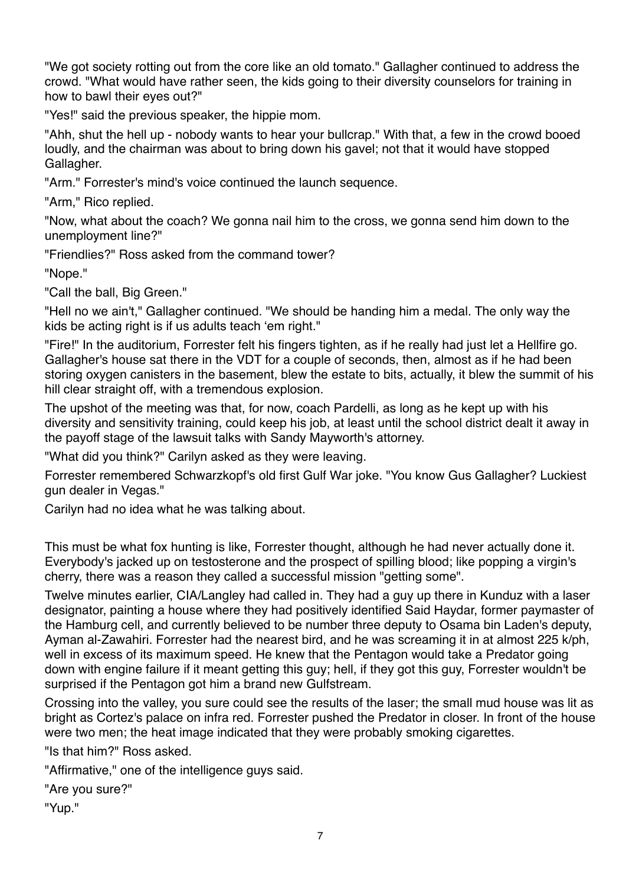"We got society rotting out from the core like an old tomato." Gallagher continued to address the crowd. "What would have rather seen, the kids going to their diversity counselors for training in how to bawl their eyes out?"

"Yes!" said the previous speaker, the hippie mom.

"Ahh, shut the hell up - nobody wants to hear your bullcrap." With that, a few in the crowd booed loudly, and the chairman was about to bring down his gavel; not that it would have stopped Gallagher.

"Arm." Forrester's mind's voice continued the launch sequence.

"Arm," Rico replied.

"Now, what about the coach? We gonna nail him to the cross, we gonna send him down to the unemployment line?"

"Friendlies?" Ross asked from the command tower?

"Nope."

"Call the ball, Big Green."

"Hell no we ain't," Gallagher continued. "We should be handing him a medal. The only way the kids be acting right is if us adults teach 'em right."

"Fire!" In the auditorium, Forrester felt his fingers tighten, as if he really had just let a Hellfire go. Gallagher's house sat there in the VDT for a couple of seconds, then, almost as if he had been storing oxygen canisters in the basement, blew the estate to bits, actually, it blew the summit of his hill clear straight off, with a tremendous explosion.

The upshot of the meeting was that, for now, coach Pardelli, as long as he kept up with his diversity and sensitivity training, could keep his job, at least until the school district dealt it away in the payoff stage of the lawsuit talks with Sandy Mayworth's attorney.

"What did you think?" Carilyn asked as they were leaving.

Forrester remembered Schwarzkopf's old first Gulf War joke. "You know Gus Gallagher? Luckiest gun dealer in Vegas."

Carilyn had no idea what he was talking about.

This must be what fox hunting is like, Forrester thought, although he had never actually done it. Everybody's jacked up on testosterone and the prospect of spilling blood; like popping a virgin's cherry, there was a reason they called a successful mission "getting some".

Twelve minutes earlier, CIA/Langley had called in. They had a guy up there in Kunduz with a laser designator, painting a house where they had positively identified Said Haydar, former paymaster of the Hamburg cell, and currently believed to be number three deputy to Osama bin Laden's deputy, Ayman al-Zawahiri. Forrester had the nearest bird, and he was screaming it in at almost 225 k/ph, well in excess of its maximum speed. He knew that the Pentagon would take a Predator going down with engine failure if it meant getting this guy; hell, if they got this guy, Forrester wouldn't be surprised if the Pentagon got him a brand new Gulfstream.

Crossing into the valley, you sure could see the results of the laser; the small mud house was lit as bright as Cortez's palace on infra red. Forrester pushed the Predator in closer. In front of the house were two men; the heat image indicated that they were probably smoking cigarettes.

"Is that him?" Ross asked.

"Affirmative," one of the intelligence guys said.

```
"Are you sure?"
```
"Yup."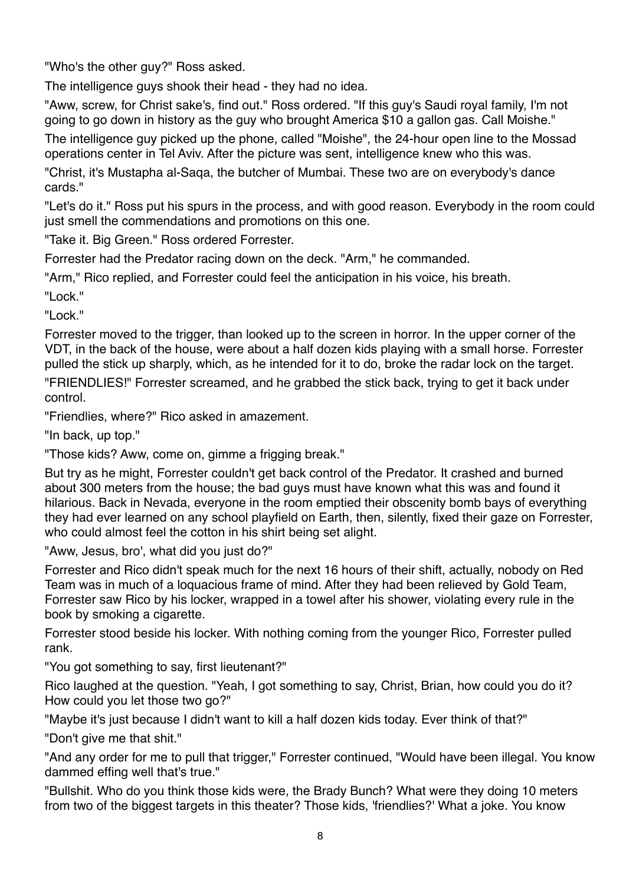"Who's the other guy?" Ross asked.

The intelligence guys shook their head - they had no idea.

"Aww, screw, for Christ sake's, find out." Ross ordered. "If this guy's Saudi royal family, I'm not going to go down in history as the guy who brought America \$10 a gallon gas. Call Moishe."

The intelligence guy picked up the phone, called "Moishe", the 24-hour open line to the Mossad operations center in Tel Aviv. After the picture was sent, intelligence knew who this was.

"Christ, it's Mustapha al-Saqa, the butcher of Mumbai. These two are on everybody's dance cards."

"Let's do it." Ross put his spurs in the process, and with good reason. Everybody in the room could just smell the commendations and promotions on this one.

"Take it. Big Green." Ross ordered Forrester.

Forrester had the Predator racing down on the deck. "Arm," he commanded.

"Arm," Rico replied, and Forrester could feel the anticipation in his voice, his breath.

"Lock."

"Lock."

Forrester moved to the trigger, than looked up to the screen in horror. In the upper corner of the VDT, in the back of the house, were about a half dozen kids playing with a small horse. Forrester pulled the stick up sharply, which, as he intended for it to do, broke the radar lock on the target.

"FRIENDLIES!" Forrester screamed, and he grabbed the stick back, trying to get it back under control.

"Friendlies, where?" Rico asked in amazement.

"In back, up top."

"Those kids? Aww, come on, gimme a frigging break."

But try as he might, Forrester couldn't get back control of the Predator. It crashed and burned about 300 meters from the house; the bad guys must have known what this was and found it hilarious. Back in Nevada, everyone in the room emptied their obscenity bomb bays of everything they had ever learned on any school playfield on Earth, then, silently, fixed their gaze on Forrester, who could almost feel the cotton in his shirt being set alight.

"Aww, Jesus, bro', what did you just do?"

Forrester and Rico didn't speak much for the next 16 hours of their shift, actually, nobody on Red Team was in much of a loquacious frame of mind. After they had been relieved by Gold Team, Forrester saw Rico by his locker, wrapped in a towel after his shower, violating every rule in the book by smoking a cigarette.

Forrester stood beside his locker. With nothing coming from the younger Rico, Forrester pulled rank.

"You got something to say, first lieutenant?"

Rico laughed at the question. "Yeah, I got something to say, Christ, Brian, how could you do it? How could you let those two go?"

"Maybe it's just because I didn't want to kill a half dozen kids today. Ever think of that?"

"Don't give me that shit."

"And any order for me to pull that trigger," Forrester continued, "Would have been illegal. You know dammed effing well that's true."

"Bullshit. Who do you think those kids were, the Brady Bunch? What were they doing 10 meters from two of the biggest targets in this theater? Those kids, 'friendlies?' What a joke. You know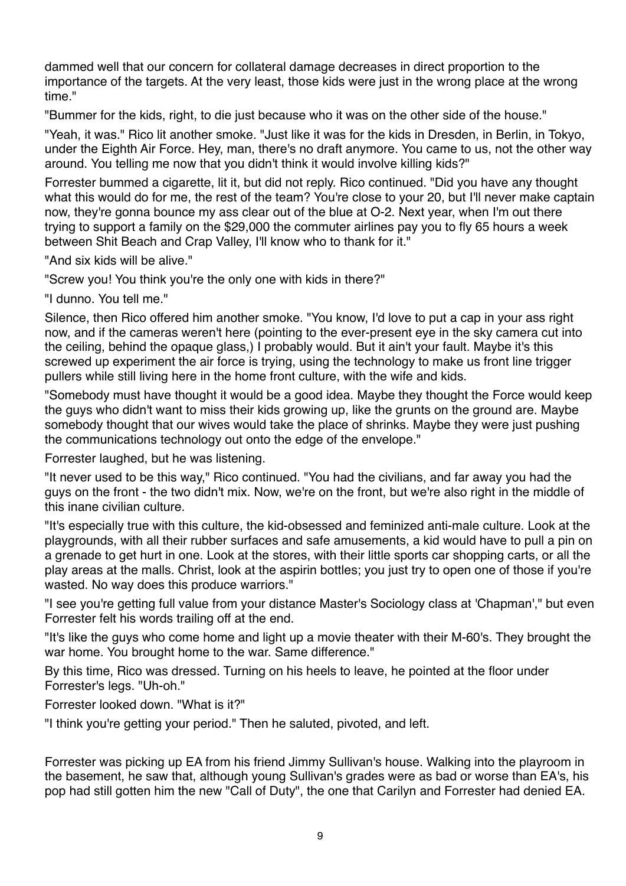dammed well that our concern for collateral damage decreases in direct proportion to the importance of the targets. At the very least, those kids were just in the wrong place at the wrong time."

"Bummer for the kids, right, to die just because who it was on the other side of the house."

"Yeah, it was." Rico lit another smoke. "Just like it was for the kids in Dresden, in Berlin, in Tokyo, under the Eighth Air Force. Hey, man, there's no draft anymore. You came to us, not the other way around. You telling me now that you didn't think it would involve killing kids?"

Forrester bummed a cigarette, lit it, but did not reply. Rico continued. "Did you have any thought what this would do for me, the rest of the team? You're close to your 20, but I'll never make captain now, they're gonna bounce my ass clear out of the blue at O-2. Next year, when I'm out there trying to support a family on the \$29,000 the commuter airlines pay you to fly 65 hours a week between Shit Beach and Crap Valley, I'll know who to thank for it."

"And six kids will be alive."

"Screw you! You think you're the only one with kids in there?"

"I dunno. You tell me."

Silence, then Rico offered him another smoke. "You know, I'd love to put a cap in your ass right now, and if the cameras weren't here (pointing to the ever-present eye in the sky camera cut into the ceiling, behind the opaque glass,) I probably would. But it ain't your fault. Maybe it's this screwed up experiment the air force is trying, using the technology to make us front line trigger pullers while still living here in the home front culture, with the wife and kids.

"Somebody must have thought it would be a good idea. Maybe they thought the Force would keep the guys who didn't want to miss their kids growing up, like the grunts on the ground are. Maybe somebody thought that our wives would take the place of shrinks. Maybe they were just pushing the communications technology out onto the edge of the envelope."

Forrester laughed, but he was listening.

"It never used to be this way," Rico continued. "You had the civilians, and far away you had the guys on the front - the two didn't mix. Now, we're on the front, but we're also right in the middle of this inane civilian culture.

"It's especially true with this culture, the kid-obsessed and feminized anti-male culture. Look at the playgrounds, with all their rubber surfaces and safe amusements, a kid would have to pull a pin on a grenade to get hurt in one. Look at the stores, with their little sports car shopping carts, or all the play areas at the malls. Christ, look at the aspirin bottles; you just try to open one of those if you're wasted. No way does this produce warriors."

"I see you're getting full value from your distance Master's Sociology class at 'Chapman'," but even Forrester felt his words trailing off at the end.

"It's like the guys who come home and light up a movie theater with their M-60's. They brought the war home. You brought home to the war. Same difference."

By this time, Rico was dressed. Turning on his heels to leave, he pointed at the floor under Forrester's legs. "Uh-oh."

Forrester looked down. "What is it?"

"I think you're getting your period." Then he saluted, pivoted, and left.

Forrester was picking up EA from his friend Jimmy Sullivan's house. Walking into the playroom in the basement, he saw that, although young Sullivan's grades were as bad or worse than EA's, his pop had still gotten him the new "Call of Duty", the one that Carilyn and Forrester had denied EA.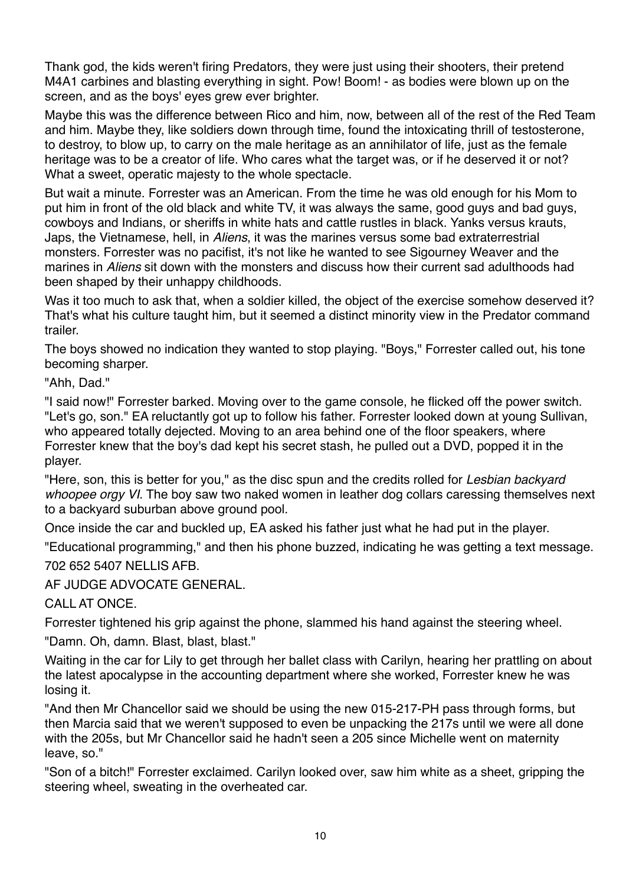Thank god, the kids weren't firing Predators, they were just using their shooters, their pretend M4A1 carbines and blasting everything in sight. Pow! Boom! - as bodies were blown up on the screen, and as the boys' eyes grew ever brighter.

Maybe this was the difference between Rico and him, now, between all of the rest of the Red Team and him. Maybe they, like soldiers down through time, found the intoxicating thrill of testosterone, to destroy, to blow up, to carry on the male heritage as an annihilator of life, just as the female heritage was to be a creator of life. Who cares what the target was, or if he deserved it or not? What a sweet, operatic majesty to the whole spectacle.

But wait a minute. Forrester was an American. From the time he was old enough for his Mom to put him in front of the old black and white TV, it was always the same, good guys and bad guys, cowboys and Indians, or sheriffs in white hats and cattle rustles in black. Yanks versus krauts, Japs, the Vietnamese, hell, in *Aliens*, it was the marines versus some bad extraterrestrial monsters. Forrester was no pacifist, it's not like he wanted to see Sigourney Weaver and the marines in *Aliens* sit down with the monsters and discuss how their current sad adulthoods had been shaped by their unhappy childhoods.

Was it too much to ask that, when a soldier killed, the object of the exercise somehow deserved it? That's what his culture taught him, but it seemed a distinct minority view in the Predator command trailer.

The boys showed no indication they wanted to stop playing. "Boys," Forrester called out, his tone becoming sharper.

"Ahh, Dad."

"I said now!" Forrester barked. Moving over to the game console, he flicked off the power switch. "Let's go, son." EA reluctantly got up to follow his father. Forrester looked down at young Sullivan, who appeared totally dejected. Moving to an area behind one of the floor speakers, where Forrester knew that the boy's dad kept his secret stash, he pulled out a DVD, popped it in the player.

"Here, son, this is better for you," as the disc spun and the credits rolled for *Lesbian backyard whoopee orgy VI*. The boy saw two naked women in leather dog collars caressing themselves next to a backyard suburban above ground pool.

Once inside the car and buckled up, EA asked his father just what he had put in the player.

"Educational programming," and then his phone buzzed, indicating he was getting a text message. 702 652 5407 NELLIS AFB.

AF JUDGE ADVOCATE GENERAL.

CALL AT ONCE.

Forrester tightened his grip against the phone, slammed his hand against the steering wheel.

"Damn. Oh, damn. Blast, blast, blast."

Waiting in the car for Lily to get through her ballet class with Carilyn, hearing her prattling on about the latest apocalypse in the accounting department where she worked, Forrester knew he was losing it.

"And then Mr Chancellor said we should be using the new 015-217-PH pass through forms, but then Marcia said that we weren't supposed to even be unpacking the 217s until we were all done with the 205s, but Mr Chancellor said he hadn't seen a 205 since Michelle went on maternity leave, so."

"Son of a bitch!" Forrester exclaimed. Carilyn looked over, saw him white as a sheet, gripping the steering wheel, sweating in the overheated car.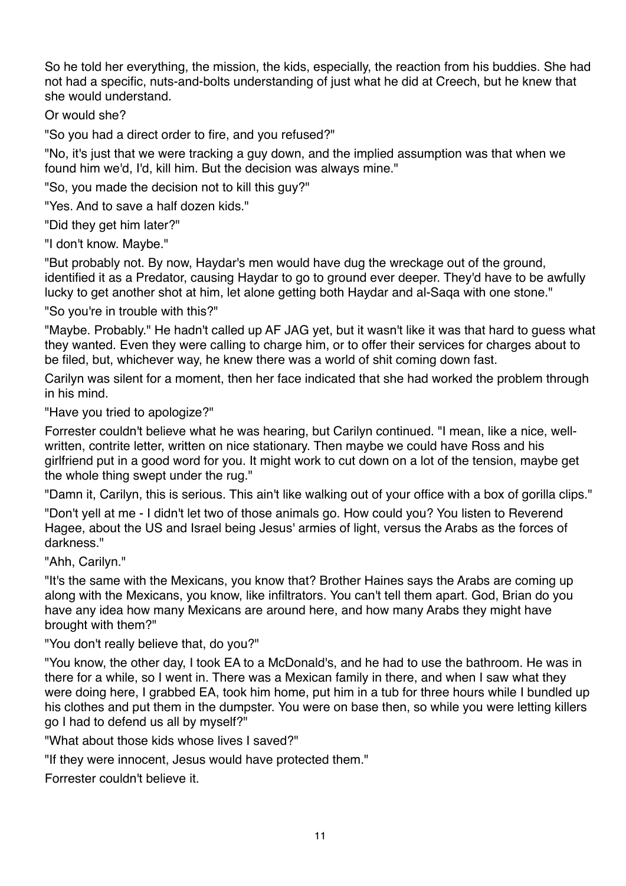So he told her everything, the mission, the kids, especially, the reaction from his buddies. She had not had a specific, nuts-and-bolts understanding of just what he did at Creech, but he knew that she would understand.

Or would she?

"So you had a direct order to fire, and you refused?"

"No, it's just that we were tracking a guy down, and the implied assumption was that when we found him we'd, I'd, kill him. But the decision was always mine."

"So, you made the decision not to kill this guy?"

"Yes. And to save a half dozen kids."

"Did they get him later?"

"I don't know. Maybe."

"But probably not. By now, Haydar's men would have dug the wreckage out of the ground, identified it as a Predator, causing Haydar to go to ground ever deeper. They'd have to be awfully lucky to get another shot at him, let alone getting both Haydar and al-Saqa with one stone."

"So you're in trouble with this?"

"Maybe. Probably." He hadn't called up AF JAG yet, but it wasn't like it was that hard to guess what they wanted. Even they were calling to charge him, or to offer their services for charges about to be filed, but, whichever way, he knew there was a world of shit coming down fast.

Carilyn was silent for a moment, then her face indicated that she had worked the problem through in his mind.

"Have you tried to apologize?"

Forrester couldn't believe what he was hearing, but Carilyn continued. "I mean, like a nice, wellwritten, contrite letter, written on nice stationary. Then maybe we could have Ross and his girlfriend put in a good word for you. It might work to cut down on a lot of the tension, maybe get the whole thing swept under the rug."

"Damn it, Carilyn, this is serious. This ain't like walking out of your office with a box of gorilla clips."

"Don't yell at me - I didn't let two of those animals go. How could you? You listen to Reverend Hagee, about the US and Israel being Jesus' armies of light, versus the Arabs as the forces of darkness."

"Ahh, Carilyn."

"It's the same with the Mexicans, you know that? Brother Haines says the Arabs are coming up along with the Mexicans, you know, like infiltrators. You can't tell them apart. God, Brian do you have any idea how many Mexicans are around here, and how many Arabs they might have brought with them?"

"You don't really believe that, do you?"

"You know, the other day, I took EA to a McDonald's, and he had to use the bathroom. He was in there for a while, so I went in. There was a Mexican family in there, and when I saw what they were doing here, I grabbed EA, took him home, put him in a tub for three hours while I bundled up his clothes and put them in the dumpster. You were on base then, so while you were letting killers go I had to defend us all by myself?"

"What about those kids whose lives I saved?"

"If they were innocent, Jesus would have protected them."

Forrester couldn't believe it.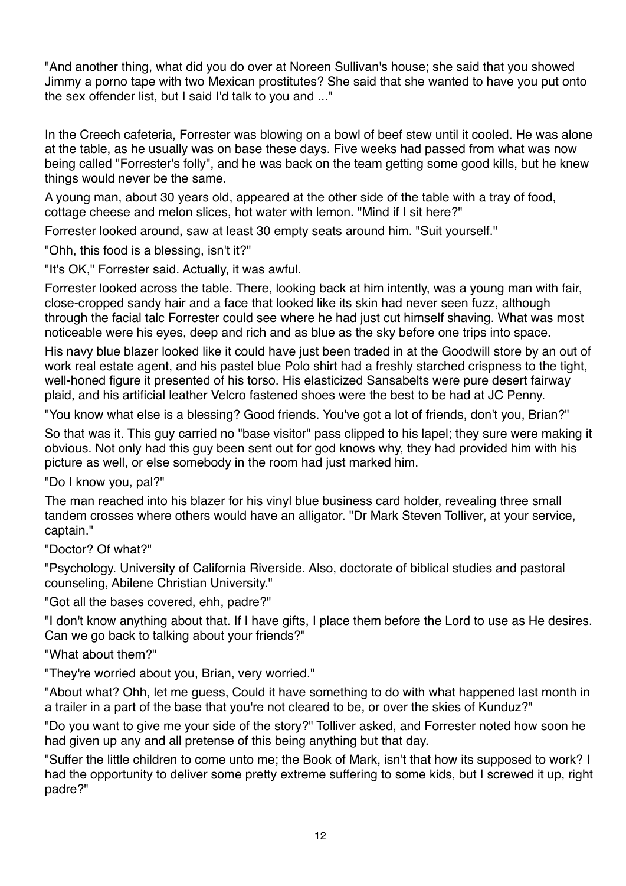"And another thing, what did you do over at Noreen Sullivan's house; she said that you showed Jimmy a porno tape with two Mexican prostitutes? She said that she wanted to have you put onto the sex offender list, but I said I'd talk to you and ..."

In the Creech cafeteria, Forrester was blowing on a bowl of beef stew until it cooled. He was alone at the table, as he usually was on base these days. Five weeks had passed from what was now being called "Forrester's folly", and he was back on the team getting some good kills, but he knew things would never be the same.

A young man, about 30 years old, appeared at the other side of the table with a tray of food, cottage cheese and melon slices, hot water with lemon. "Mind if I sit here?"

Forrester looked around, saw at least 30 empty seats around him. "Suit yourself."

"Ohh, this food is a blessing, isn't it?"

"It's OK," Forrester said. Actually, it was awful.

Forrester looked across the table. There, looking back at him intently, was a young man with fair, close-cropped sandy hair and a face that looked like its skin had never seen fuzz, although through the facial talc Forrester could see where he had just cut himself shaving. What was most noticeable were his eyes, deep and rich and as blue as the sky before one trips into space.

His navy blue blazer looked like it could have just been traded in at the Goodwill store by an out of work real estate agent, and his pastel blue Polo shirt had a freshly starched crispness to the tight, well-honed figure it presented of his torso. His elasticized Sansabelts were pure desert fairway plaid, and his artificial leather Velcro fastened shoes were the best to be had at JC Penny.

"You know what else is a blessing? Good friends. You've got a lot of friends, don't you, Brian?"

So that was it. This guy carried no "base visitor" pass clipped to his lapel; they sure were making it obvious. Not only had this guy been sent out for god knows why, they had provided him with his picture as well, or else somebody in the room had just marked him.

"Do I know you, pal?"

The man reached into his blazer for his vinyl blue business card holder, revealing three small tandem crosses where others would have an alligator. "Dr Mark Steven Tolliver, at your service, captain."

"Doctor? Of what?"

"Psychology. University of California Riverside. Also, doctorate of biblical studies and pastoral counseling, Abilene Christian University."

"Got all the bases covered, ehh, padre?"

"I don't know anything about that. If I have gifts, I place them before the Lord to use as He desires. Can we go back to talking about your friends?"

"What about them?"

"They're worried about you, Brian, very worried."

"About what? Ohh, let me guess, Could it have something to do with what happened last month in a trailer in a part of the base that you're not cleared to be, or over the skies of Kunduz?"

"Do you want to give me your side of the story?" Tolliver asked, and Forrester noted how soon he had given up any and all pretense of this being anything but that day.

"Suffer the little children to come unto me; the Book of Mark, isn't that how its supposed to work? I had the opportunity to deliver some pretty extreme suffering to some kids, but I screwed it up, right padre?"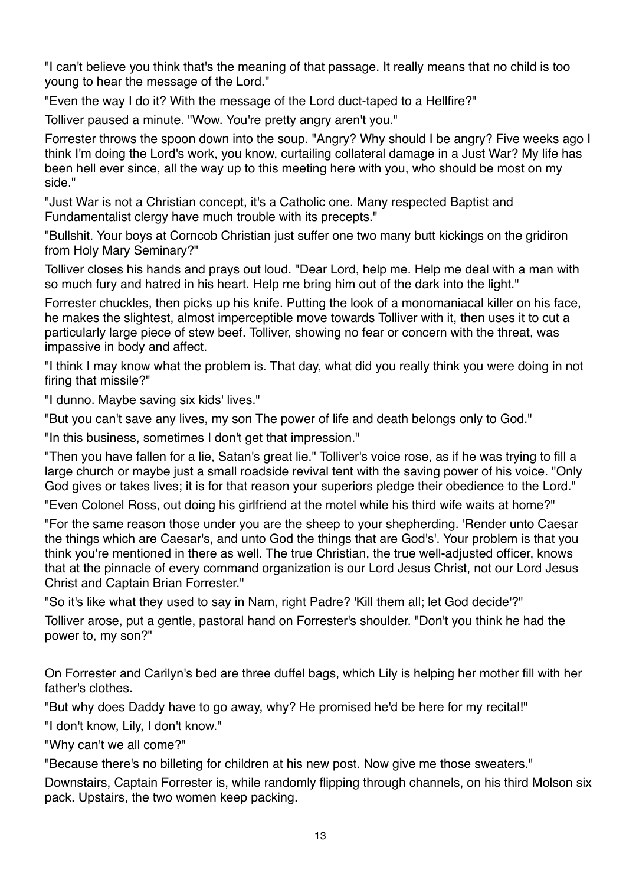"I can't believe you think that's the meaning of that passage. It really means that no child is too young to hear the message of the Lord."

"Even the way I do it? With the message of the Lord duct-taped to a Hellfire?"

Tolliver paused a minute. "Wow. You're pretty angry aren't you."

Forrester throws the spoon down into the soup. "Angry? Why should I be angry? Five weeks ago I think I'm doing the Lord's work, you know, curtailing collateral damage in a Just War? My life has been hell ever since, all the way up to this meeting here with you, who should be most on my side."

"Just War is not a Christian concept, it's a Catholic one. Many respected Baptist and Fundamentalist clergy have much trouble with its precepts."

"Bullshit. Your boys at Corncob Christian just suffer one two many butt kickings on the gridiron from Holy Mary Seminary?"

Tolliver closes his hands and prays out loud. "Dear Lord, help me. Help me deal with a man with so much fury and hatred in his heart. Help me bring him out of the dark into the light."

Forrester chuckles, then picks up his knife. Putting the look of a monomaniacal killer on his face, he makes the slightest, almost imperceptible move towards Tolliver with it, then uses it to cut a particularly large piece of stew beef. Tolliver, showing no fear or concern with the threat, was impassive in body and affect.

"I think I may know what the problem is. That day, what did you really think you were doing in not firing that missile?"

"I dunno. Maybe saving six kids' lives."

"But you can't save any lives, my son The power of life and death belongs only to God."

"In this business, sometimes I don't get that impression."

"Then you have fallen for a lie, Satan's great lie." Tolliver's voice rose, as if he was trying to fill a large church or maybe just a small roadside revival tent with the saving power of his voice. "Only God gives or takes lives; it is for that reason your superiors pledge their obedience to the Lord."

"Even Colonel Ross, out doing his girlfriend at the motel while his third wife waits at home?"

"For the same reason those under you are the sheep to your shepherding. 'Render unto Caesar the things which are Caesar's, and unto God the things that are God's'. Your problem is that you think you're mentioned in there as well. The true Christian, the true well-adjusted officer, knows that at the pinnacle of every command organization is our Lord Jesus Christ, not our Lord Jesus Christ and Captain Brian Forrester."

"So it's like what they used to say in Nam, right Padre? 'Kill them all; let God decide'?"

Tolliver arose, put a gentle, pastoral hand on Forrester's shoulder. "Don't you think he had the power to, my son?"

On Forrester and Carilyn's bed are three duffel bags, which Lily is helping her mother fill with her father's clothes.

"But why does Daddy have to go away, why? He promised he'd be here for my recital!"

"I don't know, Lily, I don't know."

"Why can't we all come?"

"Because there's no billeting for children at his new post. Now give me those sweaters."

Downstairs, Captain Forrester is, while randomly flipping through channels, on his third Molson six pack. Upstairs, the two women keep packing.